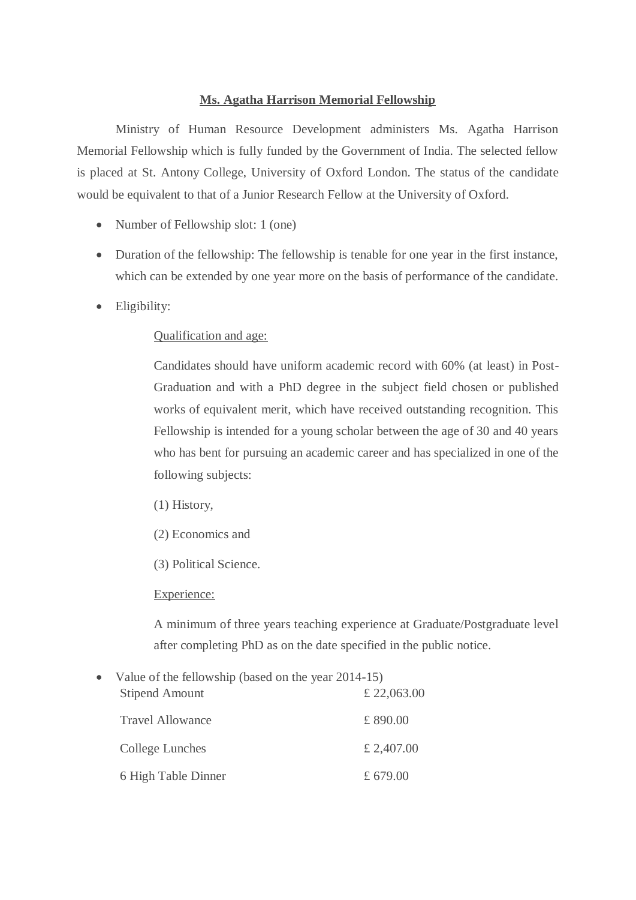## **Ms. Agatha Harrison Memorial Fellowship**

Ministry of Human Resource Development administers Ms. Agatha Harrison Memorial Fellowship which is fully funded by the Government of India. The selected fellow is placed at St. Antony College, University of Oxford London. The status of the candidate would be equivalent to that of a Junior Research Fellow at the University of Oxford.

- Number of Fellowship slot: 1 (one)
- Duration of the fellowship: The fellowship is tenable for one year in the first instance, which can be extended by one year more on the basis of performance of the candidate.
- Eligibility:

## Qualification and age:

Candidates should have uniform academic record with 60% (at least) in Post-Graduation and with a PhD degree in the subject field chosen or published works of equivalent merit, which have received outstanding recognition. This Fellowship is intended for a young scholar between the age of 30 and 40 years who has bent for pursuing an academic career and has specialized in one of the following subjects:

- (1) History,
- (2) Economics and
- (3) Political Science.

## Experience:

A minimum of three years teaching experience at Graduate/Postgraduate level after completing PhD as on the date specified in the public notice.

• Value of the fellowship (based on the year 2014-15) Stipend Amount £ 22,063.00 Travel Allowance  $\qquad \qquad \text{£ }890.00$ College Lunches  $\pounds 2,407.00$ 6 High Table Dinner £ 679.00